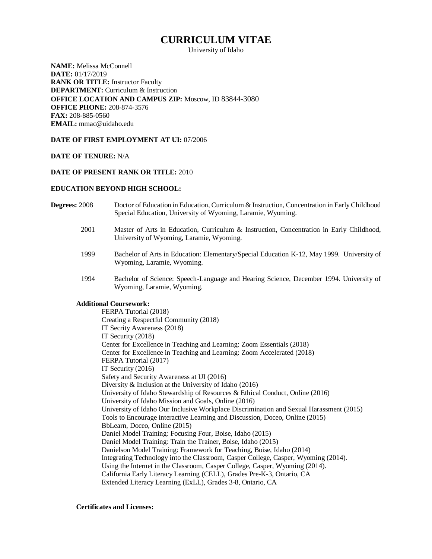# **CURRICULUM VITAE**

University of Idaho

**NAME:** Melissa McConnell **DATE:** 01/17/2019 **RANK OR TITLE:** Instructor Faculty **DEPARTMENT:** Curriculum & Instruction **OFFICE LOCATION AND CAMPUS ZIP:** Moscow, ID 83844-3080 **OFFICE PHONE:** 208-874-3576 **FAX:** 208-885-0560 **EMAIL:** mmac@uidaho.edu

# **DATE OF FIRST EMPLOYMENT AT UI:** 07/2006

### **DATE OF TENURE:** N/A

# **DATE OF PRESENT RANK OR TITLE:** 2010

#### **EDUCATION BEYOND HIGH SCHOOL:**

- **Degrees:** 2008 Doctor of Education in Education, Curriculum & Instruction, Concentration in Early Childhood Special Education, University of Wyoming, Laramie, Wyoming.
	- 2001 Master of Arts in Education, Curriculum & Instruction, Concentration in Early Childhood, University of Wyoming, Laramie, Wyoming.
	- 1999 Bachelor of Arts in Education: Elementary/Special Education K-12, May 1999. University of Wyoming, Laramie, Wyoming.
	- 1994 Bachelor of Science: Speech-Language and Hearing Science, December 1994. University of Wyoming, Laramie, Wyoming.

# **Additional Coursework:**

FERPA Tutorial (2018) Creating a Respectful Community (2018) IT Secrity Awareness (2018) IT Security (2018) Center for Excellence in Teaching and Learning: Zoom Essentials (2018) Center for Excellence in Teaching and Learning: Zoom Accelerated (2018) FERPA Tutorial (2017) IT Security (2016) Safety and Security Awareness at UI (2016) Diversity & Inclusion at the University of Idaho (2016) University of Idaho Stewardship of Resources & Ethical Conduct, Online (2016) University of Idaho Mission and Goals, Online (2016) University of Idaho Our Inclusive Workplace Discrimination and Sexual Harassment (2015) Tools to Encourage interactive Learning and Discussion, Doceo, Online (2015) BbLearn, Doceo, Online (2015) Daniel Model Training: Focusing Four, Boise, Idaho (2015) Daniel Model Training: Train the Trainer, Boise, Idaho (2015) Danielson Model Training: Framework for Teaching, Boise, Idaho (2014) Integrating Technology into the Classroom, Casper College, Casper, Wyoming (2014). Using the Internet in the Classroom, Casper College, Casper, Wyoming (2014). California Early Literacy Learning (CELL), Grades Pre-K-3, Ontario, CA Extended Literacy Learning (ExLL), Grades 3-8, Ontario, CA

#### **Certificates and Licenses:**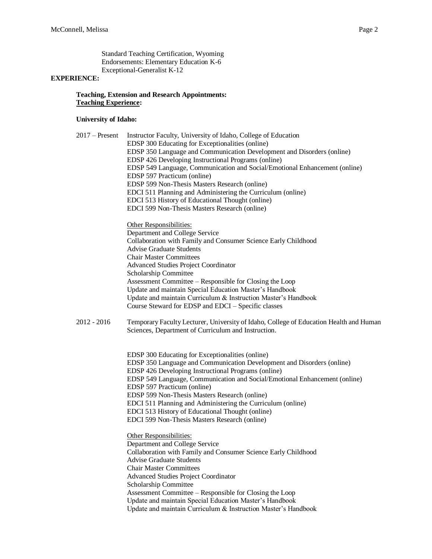Standard Teaching Certification, Wyoming Endorsements: Elementary Education K-6 Exceptional-Generalist K-12

# **EXPERIENCE:**

# **Teaching, Extension and Research Appointments: Teaching Experience:**

# **University of Idaho:**

| $2017$ – Present | Instructor Faculty, University of Idaho, College of Education<br>EDSP 300 Educating for Exceptionalities (online)<br>EDSP 350 Language and Communication Development and Disorders (online)<br>EDSP 426 Developing Instructional Programs (online)<br>EDSP 549 Language, Communication and Social/Emotional Enhancement (online)<br>EDSP 597 Practicum (online)<br>EDSP 599 Non-Thesis Masters Research (online)<br>EDCI 511 Planning and Administering the Curriculum (online)<br>EDCI 513 History of Educational Thought (online)<br>EDCI 599 Non-Thesis Masters Research (online) |
|------------------|--------------------------------------------------------------------------------------------------------------------------------------------------------------------------------------------------------------------------------------------------------------------------------------------------------------------------------------------------------------------------------------------------------------------------------------------------------------------------------------------------------------------------------------------------------------------------------------|
|                  | Other Responsibilities:<br>Department and College Service<br>Collaboration with Family and Consumer Science Early Childhood                                                                                                                                                                                                                                                                                                                                                                                                                                                          |
|                  | <b>Advise Graduate Students</b>                                                                                                                                                                                                                                                                                                                                                                                                                                                                                                                                                      |
|                  | <b>Chair Master Committees</b>                                                                                                                                                                                                                                                                                                                                                                                                                                                                                                                                                       |
|                  | <b>Advanced Studies Project Coordinator</b><br>Scholarship Committee                                                                                                                                                                                                                                                                                                                                                                                                                                                                                                                 |
|                  | Assessment Committee – Responsible for Closing the Loop                                                                                                                                                                                                                                                                                                                                                                                                                                                                                                                              |
|                  | Update and maintain Special Education Master's Handbook                                                                                                                                                                                                                                                                                                                                                                                                                                                                                                                              |
|                  | Update and maintain Curriculum & Instruction Master's Handbook                                                                                                                                                                                                                                                                                                                                                                                                                                                                                                                       |
|                  | Course Steward for EDSP and EDCI - Specific classes                                                                                                                                                                                                                                                                                                                                                                                                                                                                                                                                  |
| $2012 - 2016$    | Temporary Faculty Lecturer, University of Idaho, College of Education Health and Human<br>Sciences, Department of Curriculum and Instruction.                                                                                                                                                                                                                                                                                                                                                                                                                                        |
|                  | EDSP 300 Educating for Exceptionalities (online)<br>EDSP 350 Language and Communication Development and Disorders (online)<br>EDSP 426 Developing Instructional Programs (online)                                                                                                                                                                                                                                                                                                                                                                                                    |
|                  | EDSP 549 Language, Communication and Social/Emotional Enhancement (online)<br>EDSP 597 Practicum (online)                                                                                                                                                                                                                                                                                                                                                                                                                                                                            |
|                  | EDSP 599 Non-Thesis Masters Research (online)                                                                                                                                                                                                                                                                                                                                                                                                                                                                                                                                        |
|                  | EDCI 511 Planning and Administering the Curriculum (online)                                                                                                                                                                                                                                                                                                                                                                                                                                                                                                                          |
|                  | EDCI 513 History of Educational Thought (online)                                                                                                                                                                                                                                                                                                                                                                                                                                                                                                                                     |
|                  | EDCI 599 Non-Thesis Masters Research (online)                                                                                                                                                                                                                                                                                                                                                                                                                                                                                                                                        |
|                  | Other Responsibilities:                                                                                                                                                                                                                                                                                                                                                                                                                                                                                                                                                              |
|                  | Department and College Service<br>Collaboration with Family and Consumer Science Early Childhood                                                                                                                                                                                                                                                                                                                                                                                                                                                                                     |
|                  | <b>Advise Graduate Students</b>                                                                                                                                                                                                                                                                                                                                                                                                                                                                                                                                                      |
|                  | <b>Chair Master Committees</b>                                                                                                                                                                                                                                                                                                                                                                                                                                                                                                                                                       |
|                  | <b>Advanced Studies Project Coordinator</b>                                                                                                                                                                                                                                                                                                                                                                                                                                                                                                                                          |
|                  | Scholarship Committee                                                                                                                                                                                                                                                                                                                                                                                                                                                                                                                                                                |
|                  | Assessment Committee – Responsible for Closing the Loop                                                                                                                                                                                                                                                                                                                                                                                                                                                                                                                              |
|                  | Update and maintain Special Education Master's Handbook                                                                                                                                                                                                                                                                                                                                                                                                                                                                                                                              |
|                  | Update and maintain Curriculum & Instruction Master's Handbook                                                                                                                                                                                                                                                                                                                                                                                                                                                                                                                       |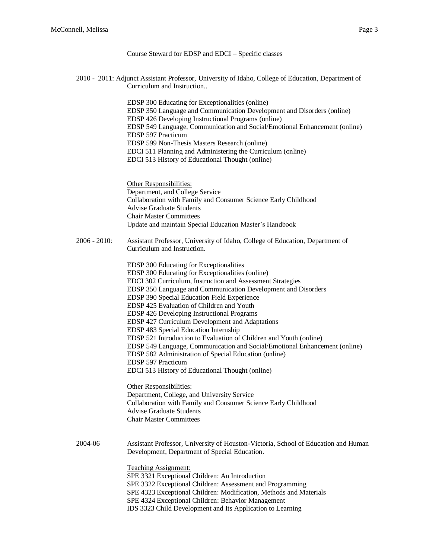# Course Steward for EDSP and EDCI – Specific classes

2010 - 2011: Adjunct Assistant Professor, University of Idaho, College of Education, Department of Curriculum and Instruction..

> EDSP 300 Educating for Exceptionalities (online) EDSP 350 Language and Communication Development and Disorders (online) EDSP 426 Developing Instructional Programs (online) EDSP 549 Language, Communication and Social/Emotional Enhancement (online) EDSP 597 Practicum EDSP 599 Non-Thesis Masters Research (online) EDCI 511 Planning and Administering the Curriculum (online) EDCI 513 History of Educational Thought (online)

Other Responsibilities: Department, and College Service Collaboration with Family and Consumer Science Early Childhood Advise Graduate Students Chair Master Committees Update and maintain Special Education Master's Handbook

2006 - 2010: Assistant Professor, University of Idaho, College of Education, Department of Curriculum and Instruction.

> EDSP 300 Educating for Exceptionalities EDSP 300 Educating for Exceptionalities (online) EDCI 302 Curriculum, Instruction and Assessment Strategies EDSP 350 Language and Communication Development and Disorders EDSP 390 Special Education Field Experience EDSP 425 Evaluation of Children and Youth EDSP 426 Developing Instructional Programs EDSP 427 Curriculum Development and Adaptations EDSP 483 Special Education Internship EDSP 521 Introduction to Evaluation of Children and Youth (online) EDSP 549 Language, Communication and Social/Emotional Enhancement (online) EDSP 582 Administration of Special Education (online) EDSP 597 Practicum EDCI 513 History of Educational Thought (online)

Other Responsibilities: Department, College, and University Service Collaboration with Family and Consumer Science Early Childhood Advise Graduate Students Chair Master Committees

2004-06 Assistant Professor, University of Houston-Victoria, School of Education and Human Development, Department of Special Education.

> Teaching Assignment: SPE 3321 Exceptional Children: An Introduction SPE 3322 Exceptional Children: Assessment and Programming SPE 4323 Exceptional Children: Modification, Methods and Materials SPE 4324 Exceptional Children: Behavior Management IDS 3323 Child Development and Its Application to Learning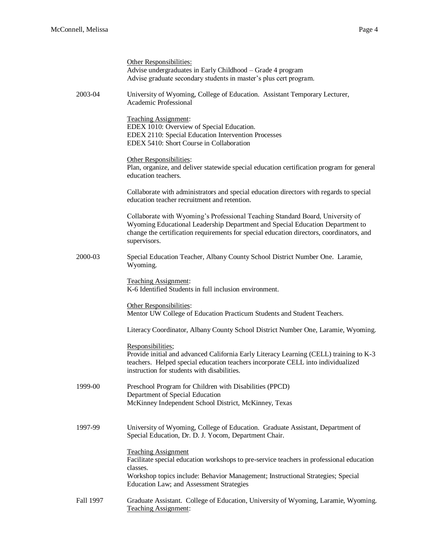|           | Other Responsibilities:<br>Advise undergraduates in Early Childhood - Grade 4 program<br>Advise graduate secondary students in master's plus cert program.                                                                                                                  |
|-----------|-----------------------------------------------------------------------------------------------------------------------------------------------------------------------------------------------------------------------------------------------------------------------------|
| 2003-04   | University of Wyoming, College of Education. Assistant Temporary Lecturer,<br>Academic Professional                                                                                                                                                                         |
|           | Teaching Assignment:<br>EDEX 1010: Overview of Special Education.<br>EDEX 2110: Special Education Intervention Processes<br>EDEX 5410: Short Course in Collaboration                                                                                                        |
|           | Other Responsibilities:<br>Plan, organize, and deliver statewide special education certification program for general<br>education teachers.                                                                                                                                 |
|           | Collaborate with administrators and special education directors with regards to special<br>education teacher recruitment and retention.                                                                                                                                     |
|           | Collaborate with Wyoming's Professional Teaching Standard Board, University of<br>Wyoming Educational Leadership Department and Special Education Department to<br>change the certification requirements for special education directors, coordinators, and<br>supervisors. |
| 2000-03   | Special Education Teacher, Albany County School District Number One. Laramie,<br>Wyoming.                                                                                                                                                                                   |
|           | <b>Teaching Assignment:</b><br>K-6 Identified Students in full inclusion environment.                                                                                                                                                                                       |
|           | Other Responsibilities:<br>Mentor UW College of Education Practicum Students and Student Teachers.                                                                                                                                                                          |
|           | Literacy Coordinator, Albany County School District Number One, Laramie, Wyoming.                                                                                                                                                                                           |
|           | Responsibilities;<br>Provide initial and advanced California Early Literacy Learning (CELL) training to K-3<br>teachers. Helped special education teachers incorporate CELL into individualized<br>instruction for students with disabilities.                              |
| 1999-00   | Preschool Program for Children with Disabilities (PPCD)<br>Department of Special Education<br>McKinney Independent School District, McKinney, Texas                                                                                                                         |
| 1997-99   | University of Wyoming, College of Education. Graduate Assistant, Department of<br>Special Education, Dr. D. J. Yocom, Department Chair.                                                                                                                                     |
|           | <b>Teaching Assignment</b><br>Facilitate special education workshops to pre-service teachers in professional education<br>classes.<br>Workshop topics include: Behavior Management; Instructional Strategies; Special<br>Education Law; and Assessment Strategies           |
| Fall 1997 | Graduate Assistant. College of Education, University of Wyoming, Laramie, Wyoming.<br>Teaching Assignment:                                                                                                                                                                  |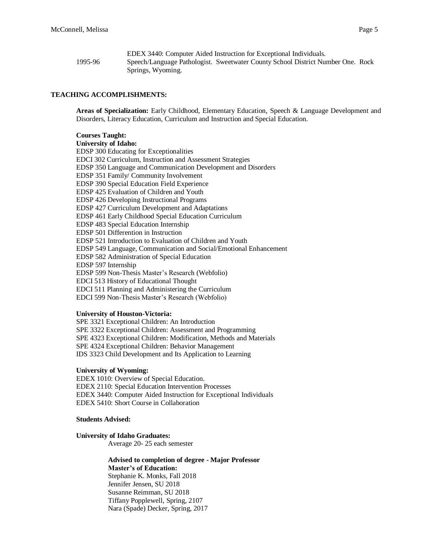|         | EDEX 3440: Computer Aided Instruction for Exceptional Individuals.              |  |
|---------|---------------------------------------------------------------------------------|--|
| 1995-96 | Speech/Language Pathologist. Sweetwater County School District Number One. Rock |  |
|         | Springs, Wyoming.                                                               |  |

#### **TEACHING ACCOMPLISHMENTS:**

**Areas of Specialization:** Early Childhood, Elementary Education, Speech & Language Development and Disorders, Literacy Education, Curriculum and Instruction and Special Education.

#### **Courses Taught:**

**University of Idaho:** EDSP 300 Educating for Exceptionalities EDCI 302 Curriculum, Instruction and Assessment Strategies EDSP 350 Language and Communication Development and Disorders EDSP 351 Family/ Community Involvement EDSP 390 Special Education Field Experience EDSP 425 Evaluation of Children and Youth EDSP 426 Developing Instructional Programs EDSP 427 Curriculum Development and Adaptations EDSP 461 Early Childhood Special Education Curriculum EDSP 483 Special Education Internship EDSP 501 Differention in Instruction EDSP 521 Introduction to Evaluation of Children and Youth EDSP 549 Language, Communication and Social/Emotional Enhancement EDSP 582 Administration of Special Education EDSP 597 Internship EDSP 599 Non-Thesis Master's Research (Webfolio) EDCI 513 History of Educational Thought EDCI 511 Planning and Administering the Curriculum EDCI 599 Non-Thesis Master's Research (Webfolio)

#### **University of Houston-Victoria:**

SPE 3321 Exceptional Children: An Introduction SPE 3322 Exceptional Children: Assessment and Programming SPE 4323 Exceptional Children: Modification, Methods and Materials SPE 4324 Exceptional Children: Behavior Management IDS 3323 Child Development and Its Application to Learning

#### **University of Wyoming:**

EDEX 1010: Overview of Special Education. EDEX 2110: Special Education Intervention Processes EDEX 3440: Computer Aided Instruction for Exceptional Individuals EDEX 5410: Short Course in Collaboration

#### **Students Advised:**

#### **University of Idaho Graduates:**

Average 20- 25 each semester

**Advised to completion of degree - Major Professor Master's of Education:** Stephanie K. Monks, Fall 2018 Jennifer Jensen, SU 2018 Susanne Reimman, SU 2018 Tiffany Popplewell, Spring, 2107 Nara (Spade) Decker, Spring, 2017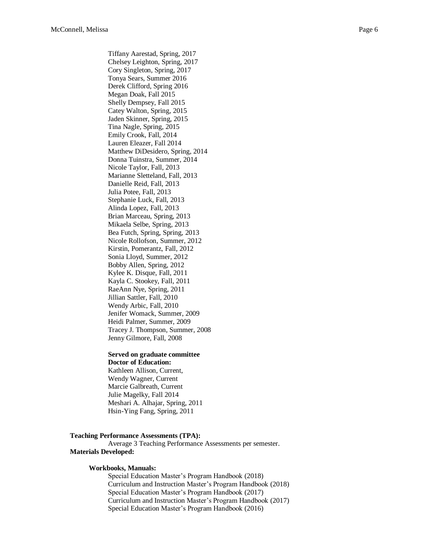Tiffany Aarestad, Spring, 2017 Chelsey Leighton, Spring, 2017 Cory Singleton, Spring, 2017 Tonya Sears, Summer 2016 Derek Clifford, Spring 2016 Megan Doak, Fall 2015 Shelly Dempsey, Fall 2015 Catey Walton, Spring, 2015 Jaden Skinner, Spring, 2015 Tina Nagle, Spring, 2015 Emily Crook, Fall, 2014 Lauren Eleazer, Fall 2014 Matthew DiDesidero, Spring, 2014 Donna Tuinstra, Summer, 2014 Nicole Taylor, Fall, 2013 Marianne Sletteland, Fall, 2013 Danielle Reid, Fall, 2013 Julia Potee, Fall, 2013 Stephanie Luck, Fall, 2013 Alinda Lopez, Fall, 2013 Brian Marceau, Spring, 2013 Mikaela Selbe, Spring, 2013 Bea Futch, Spring, Spring, 2013 Nicole Rollofson, Summer, 2012 Kirstin, Pomerantz, Fall, 2012 Sonia Lloyd, Summer, 2012 Bobby Allen, Spring, 2012 Kylee K. Disque, Fall, 2011 Kayla C. Stookey, Fall, 2011 RaeAnn Nye, Spring, 2011 Jillian Sattler, Fall, 2010 Wendy Arbic, Fall, 2010 Jenifer Womack, Summer, 2009 Heidi Palmer, Summer, 2009 Tracey J. Thompson, Summer, 2008 Jenny Gilmore, Fall, 2008

#### **Served on graduate committee Doctor of Education:**

Kathleen Allison, Current, Wendy Wagner, Current Marcie Galbreath, Current Julie Magelky, Fall 2014 Meshari A. Alhajar, Spring, 2011 Hsin-Ying Fang, Spring, 2011

#### **Teaching Performance Assessments (TPA):**

Average 3 Teaching Performance Assessments per semester. **Materials Developed:**

#### **Workbooks, Manuals:**

Special Education Master's Program Handbook (2018) Curriculum and Instruction Master's Program Handbook (2018) Special Education Master's Program Handbook (2017) Curriculum and Instruction Master's Program Handbook (2017) Special Education Master's Program Handbook (2016)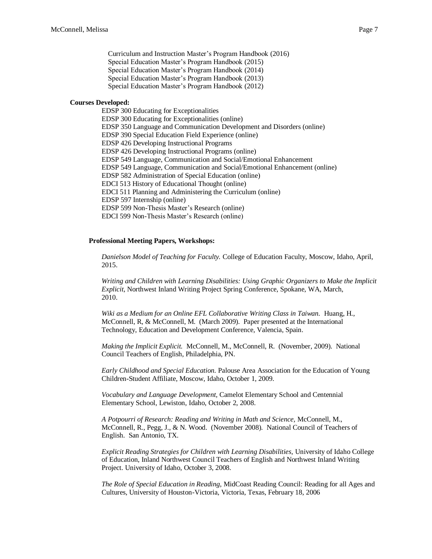Curriculum and Instruction Master's Program Handbook (2016) Special Education Master's Program Handbook (2015) Special Education Master's Program Handbook (2014) Special Education Master's Program Handbook (2013) Special Education Master's Program Handbook (2012)

#### **Courses Developed:**

EDSP 300 Educating for Exceptionalities EDSP 300 Educating for Exceptionalities (online) EDSP 350 Language and Communication Development and Disorders (online) EDSP 390 Special Education Field Experience (online) EDSP 426 Developing Instructional Programs EDSP 426 Developing Instructional Programs (online) EDSP 549 Language, Communication and Social/Emotional Enhancement EDSP 549 Language, Communication and Social/Emotional Enhancement (online) EDSP 582 Administration of Special Education (online) EDCI 513 History of Educational Thought (online) EDCI 511 Planning and Administering the Curriculum (online) EDSP 597 Internship (online) EDSP 599 Non-Thesis Master's Research (online) EDCI 599 Non-Thesis Master's Research (online)

#### **Professional Meeting Papers, Workshops:**

*Danielson Model of Teaching for Faculty.* College of Education Faculty, Moscow, Idaho, April, 2015.

*Writing and Children with Learning Disabilities: Using Graphic Organizers to Make the Implicit Explicit*, Northwest Inland Writing Project Spring Conference, Spokane, WA, March, 2010.

*Wiki as a Medium for an Online EFL Collaborative Writing Class in Taiwan.* Huang, H., McConnell, R, & McConnell, M. (March 2009). Paper presented at the International Technology, Education and Development Conference, Valencia, Spain.

*Making the Implicit Explicit.* McConnell, M., McConnell, R. (November, 2009). National Council Teachers of English, Philadelphia, PN.

*Early Childhood and Special Education.* Palouse Area Association for the Education of Young Children-Student Affiliate, Moscow, Idaho, October 1, 2009.

*Vocabulary and Language Development,* Camelot Elementary School and Centennial Elementary School, Lewiston, Idaho, October 2, 2008.

*A Potpourri of Research: Reading and Writing in Math and Science,* McConnell, M., McConnell, R., Pegg, J., & N. Wood. (November 2008). National Council of Teachers of English. San Antonio, TX.

*Explicit Reading Strategies for Children with Learning Disabilities,* University of Idaho College of Education, Inland Northwest Council Teachers of English and Northwest Inland Writing Project. University of Idaho, October 3, 2008.

*The Role of Special Education in Reading*, MidCoast Reading Council: Reading for all Ages and Cultures, University of Houston-Victoria, Victoria, Texas, February 18, 2006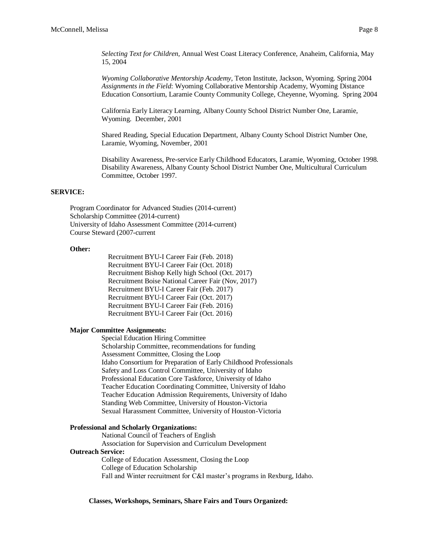*Selecting Text for Children,* Annual West Coast Literacy Conference, Anaheim, California, May 15, 2004

*Wyoming Collaborative Mentorship Academy*, Teton Institute, Jackson, Wyoming. Spring 2004 *Assignments in the Field*: Wyoming Collaborative Mentorship Academy, Wyoming Distance Education Consortium, Laramie County Community College, Cheyenne, Wyoming. Spring 2004

California Early Literacy Learning, Albany County School District Number One, Laramie, Wyoming. December, 2001

Shared Reading, Special Education Department, Albany County School District Number One, Laramie, Wyoming, November, 2001

Disability Awareness, Pre-service Early Childhood Educators, Laramie, Wyoming, October 1998. Disability Awareness, Albany County School District Number One, Multicultural Curriculum Committee, October 1997.

#### **SERVICE:**

Program Coordinator for Advanced Studies (2014-current) Scholarship Committee (2014-current) University of Idaho Assessment Committee (2014-current) Course Steward (2007-current

#### **Other:**

Recruitment BYU-I Career Fair (Feb. 2018) Recruitment BYU-I Career Fair (Oct. 2018) Recruitment Bishop Kelly high School (Oct. 2017) Recruitment Boise National Career Fair (Nov, 2017) Recruitment BYU-I Career Fair (Feb. 2017) Recruitment BYU-I Career Fair (Oct. 2017) Recruitment BYU-I Career Fair (Feb. 2016) Recruitment BYU-I Career Fair (Oct. 2016)

### **Major Committee Assignments:**

Special Education Hiring Committee Scholarship Committee, recommendations for funding Assessment Committee, Closing the Loop Idaho Consortium for Preparation of Early Childhood Professionals Safety and Loss Control Committee, University of Idaho Professional Education Core Taskforce, University of Idaho Teacher Education Coordinating Committee, University of Idaho Teacher Education Admission Requirements, University of Idaho Standing Web Committee, University of Houston-Victoria Sexual Harassment Committee, University of Houston-Victoria

#### **Professional and Scholarly Organizations:**

National Council of Teachers of English

Association for Supervision and Curriculum Development **Outreach Service:** 

College of Education Assessment, Closing the Loop College of Education Scholarship Fall and Winter recruitment for C&I master's programs in Rexburg, Idaho.

**Classes, Workshops, Seminars, Share Fairs and Tours Organized:**